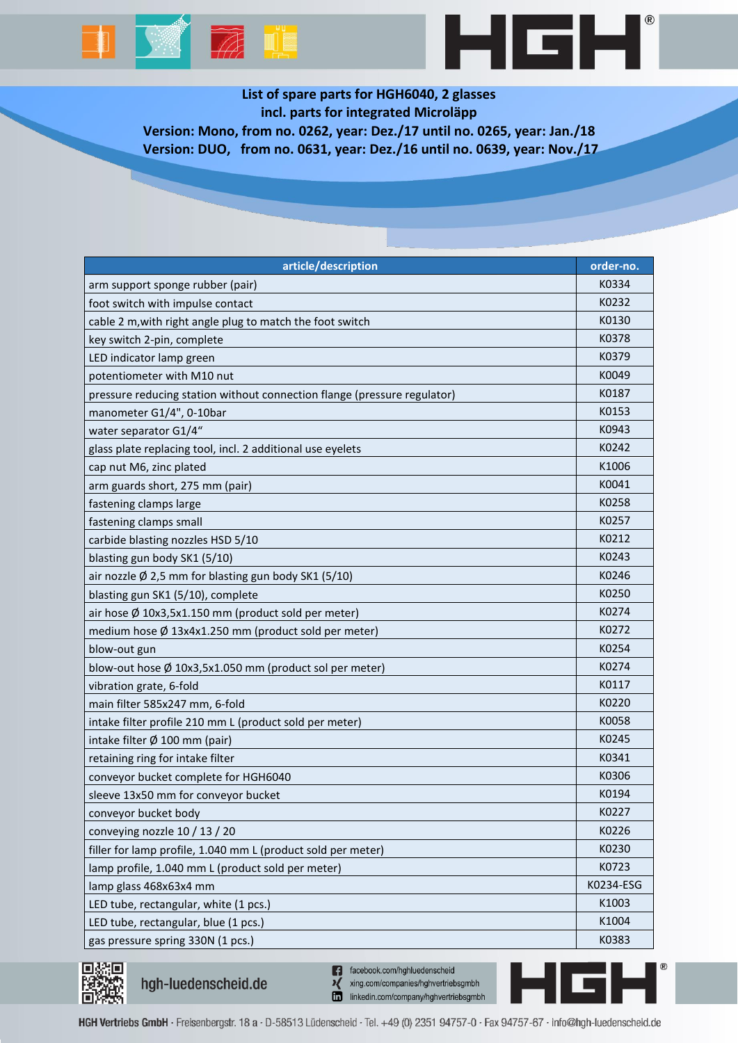**List of spare parts for HGH6040, 2 glasses incl. parts for integrated Microläpp Version: Mono, from no. 0262, year: Dez./17 until no. 0265, year: Jan./18 Version: DUO, from no. 0631, year: Dez./16 until no. 0639, year: Nov./17**

HGH'

| article/description                                                      | order-no. |
|--------------------------------------------------------------------------|-----------|
| arm support sponge rubber (pair)                                         | K0334     |
| foot switch with impulse contact                                         | K0232     |
| cable 2 m, with right angle plug to match the foot switch                | K0130     |
| key switch 2-pin, complete                                               | K0378     |
| LED indicator lamp green                                                 | K0379     |
| potentiometer with M10 nut                                               | K0049     |
| pressure reducing station without connection flange (pressure regulator) | K0187     |
| manometer G1/4", 0-10bar                                                 | K0153     |
| water separator G1/4"                                                    | K0943     |
| glass plate replacing tool, incl. 2 additional use eyelets               | K0242     |
| cap nut M6, zinc plated                                                  | K1006     |
| arm guards short, 275 mm (pair)                                          | K0041     |
| fastening clamps large                                                   | K0258     |
| fastening clamps small                                                   | K0257     |
| carbide blasting nozzles HSD 5/10                                        | K0212     |
| blasting gun body SK1 (5/10)                                             | K0243     |
| air nozzle $\emptyset$ 2,5 mm for blasting gun body SK1 (5/10)           | K0246     |
| blasting gun SK1 (5/10), complete                                        | K0250     |
| air hose Ø 10x3,5x1.150 mm (product sold per meter)                      | K0274     |
| medium hose Ø 13x4x1.250 mm (product sold per meter)                     | K0272     |
| blow-out gun                                                             | K0254     |
| blow-out hose $\emptyset$ 10x3,5x1.050 mm (product sol per meter)        | K0274     |
| vibration grate, 6-fold                                                  | K0117     |
| main filter 585x247 mm, 6-fold                                           | K0220     |
| intake filter profile 210 mm L (product sold per meter)                  | K0058     |
| intake filter Ø 100 mm (pair)                                            | K0245     |
| retaining ring for intake filter                                         | K0341     |
| conveyor bucket complete for HGH6040                                     | K0306     |
| sleeve 13x50 mm for conveyor bucket                                      | K0194     |
| conveyor bucket body                                                     | K0227     |
| conveying nozzle 10 / 13 / 20                                            | K0226     |
| filler for lamp profile, 1.040 mm L (product sold per meter)             | K0230     |
| lamp profile, 1.040 mm L (product sold per meter)                        | K0723     |
| lamp glass 468x63x4 mm                                                   | K0234-ESG |
| LED tube, rectangular, white (1 pcs.)                                    | K1003     |
| LED tube, rectangular, blue (1 pcs.)                                     | K1004     |
| gas pressure spring 330N (1 pcs.)                                        | K0383     |



hgh-luedenscheid.de

n facebook.com/hghluedenscheid xing.com/companies/hghvertriebsgmbh linkedin.com/company/hghvertriebsgmbh